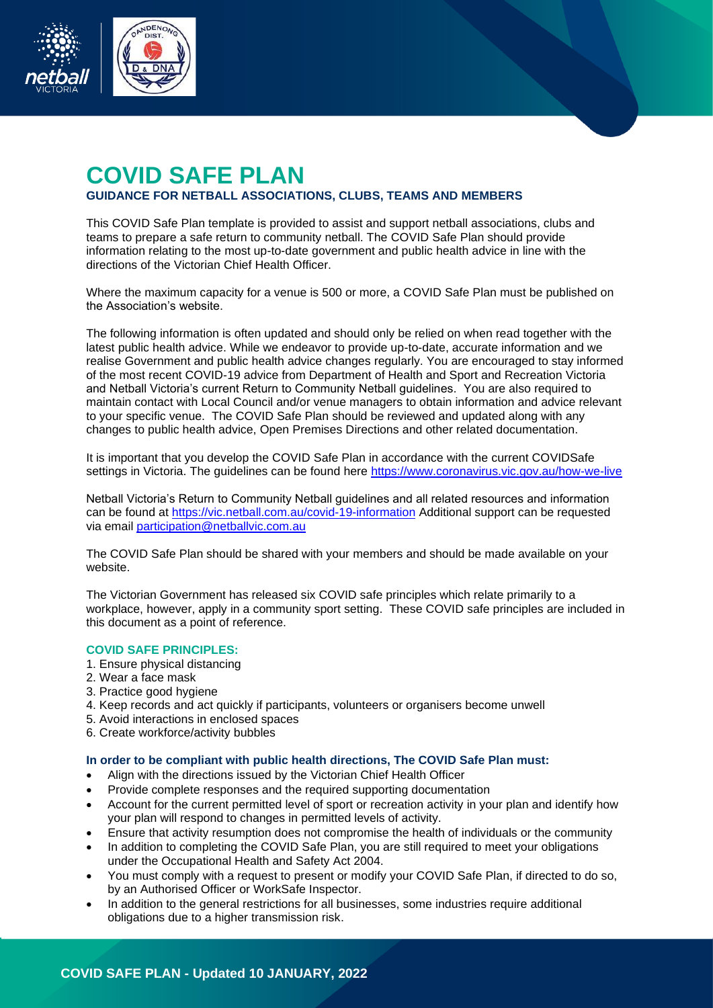

# **COVID SAFE PLAN GUIDANCE FOR NETBALL ASSOCIATIONS, CLUBS, TEAMS AND MEMBERS**

This COVID Safe Plan template is provided to assist and support netball associations, clubs and teams to prepare a safe return to community netball. The COVID Safe Plan should provide information relating to the most up-to-date government and public health advice in line with the directions of the Victorian Chief Health Officer.

Where the maximum capacity for a venue is 500 or more, a COVID Safe Plan must be published on the Association's website.

The following information is often updated and should only be relied on when read together with the latest public health advice. While we endeavor to provide up-to-date, accurate information and we realise Government and public health advice changes regularly. You are encouraged to stay informed of the most recent COVID-19 advice from Department of Health and Sport and Recreation Victoria and Netball Victoria's current Return to Community Netball guidelines. You are also required to maintain contact with Local Council and/or venue managers to obtain information and advice relevant to your specific venue. The COVID Safe Plan should be reviewed and updated along with any changes to public health advice, Open Premises Directions and other related documentation.

It is important that you develop the COVID Safe Plan in accordance with the current COVIDSafe settings in Victoria. The guidelines can be found here<https://www.coronavirus.vic.gov.au/how-we-live>

Netball Victoria's Return to Community Netball guidelines and all related resources and information can be found at<https://vic.netball.com.au/covid-19-information> Additional support can be requested via email [participation@netballvic.com.au](mailto:participation@netballvic.com.au)

The COVID Safe Plan should be shared with your members and should be made available on your website.

The Victorian Government has released six COVID safe principles which relate primarily to a workplace, however, apply in a community sport setting. These COVID safe principles are included in this document as a point of reference.

### **COVID SAFE PRINCIPLES:**

- 1. Ensure physical distancing
- 2. Wear a face mask
- 3. Practice good hygiene
- 4. Keep records and act quickly if participants, volunteers or organisers become unwell
- 5. Avoid interactions in enclosed spaces
- 6. Create workforce/activity bubbles

#### **In order to be compliant with public health directions, The COVID Safe Plan must:**

- Align with the directions issued by the Victorian Chief Health Officer
- Provide complete responses and the required supporting documentation
- Account for the current permitted level of sport or recreation activity in your plan and identify how your plan will respond to changes in permitted levels of activity.
- Ensure that activity resumption does not compromise the health of individuals or the community
- In addition to completing the COVID Safe Plan, you are still required to meet your obligations under the Occupational Health and Safety Act 2004.
- You must comply with a request to present or modify your COVID Safe Plan, if directed to do so, by an Authorised Officer or WorkSafe Inspector.
- In addition to the general restrictions for all businesses, some industries require additional obligations due to a higher transmission risk.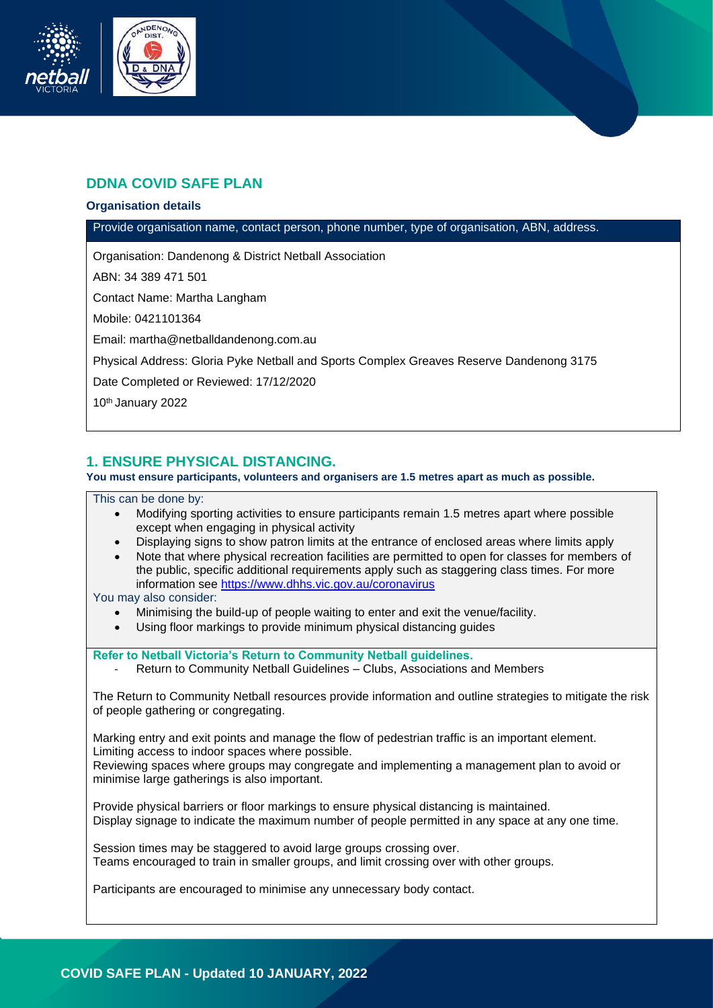

# **DDNA COVID SAFE PLAN**

### **Organisation details**

Provide organisation name, contact person, phone number, type of organisation, ABN, address.

Organisation: Dandenong & District Netball Association

ABN: 34 389 471 501

Contact Name: Martha Langham

Mobile: 0421101364

Email: martha@netballdandenong.com.au

Physical Address: Gloria Pyke Netball and Sports Complex Greaves Reserve Dandenong 3175

Date Completed or Reviewed: 17/12/2020

10th January 2022

### **1. ENSURE PHYSICAL DISTANCING.**

**You must ensure participants, volunteers and organisers are 1.5 metres apart as much as possible.**

This can be done by:

- Modifying sporting activities to ensure participants remain 1.5 metres apart where possible except when engaging in physical activity
- Displaying signs to show patron limits at the entrance of enclosed areas where limits apply
- Note that where physical recreation facilities are permitted to open for classes for members of the public, specific additional requirements apply such as staggering class times. For more information see<https://www.dhhs.vic.gov.au/coronavirus>

You may also consider:

- Minimising the build-up of people waiting to enter and exit the venue/facility.
- Using floor markings to provide minimum physical distancing guides

**Refer to Netball Victoria's Return to Community Netball guidelines.**

Return to Community Netball Guidelines – Clubs, Associations and Members

The Return to Community Netball resources provide information and outline strategies to mitigate the risk of people gathering or congregating.

Marking entry and exit points and manage the flow of pedestrian traffic is an important element. Limiting access to indoor spaces where possible.

Reviewing spaces where groups may congregate and implementing a management plan to avoid or minimise large gatherings is also important.

Provide physical barriers or floor markings to ensure physical distancing is maintained. Display signage to indicate the maximum number of people permitted in any space at any one time.

Session times may be staggered to avoid large groups crossing over. Teams encouraged to train in smaller groups, and limit crossing over with other groups.

Participants are encouraged to minimise any unnecessary body contact.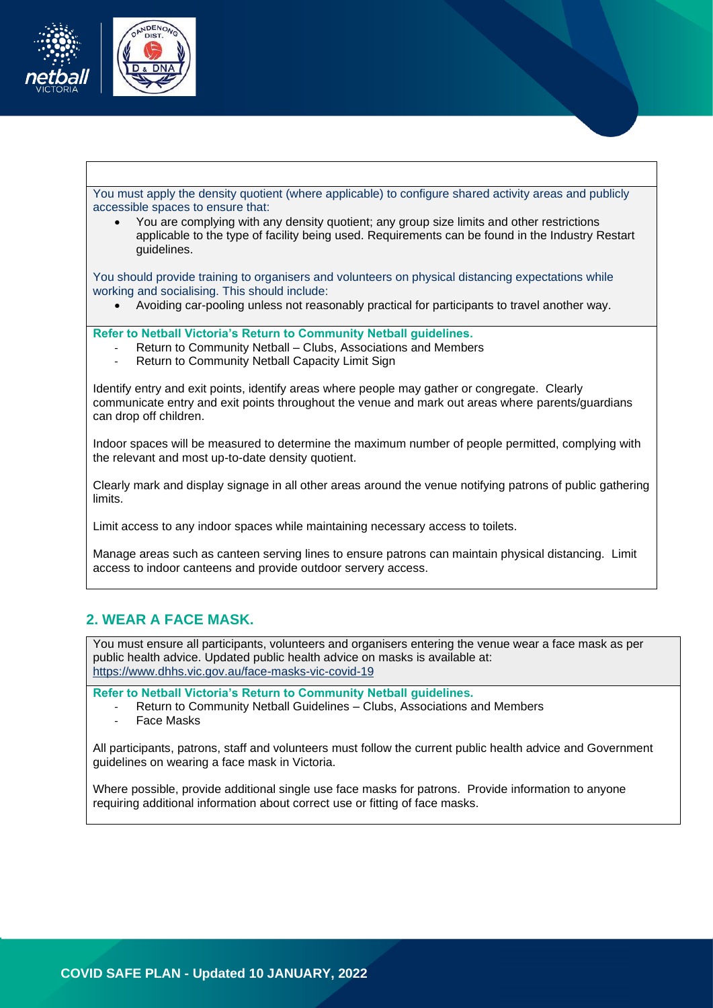

You must apply the density quotient (where applicable) to configure shared activity areas and publicly accessible spaces to ensure that:

• You are complying with any density quotient; any group size limits and other restrictions applicable to the type of facility being used. Requirements can be found in the Industry Restart guidelines.

You should provide training to organisers and volunteers on physical distancing expectations while working and socialising. This should include:

• Avoiding car-pooling unless not reasonably practical for participants to travel another way.

#### **Refer to Netball Victoria's Return to Community Netball guidelines.**

- Return to Community Netball Clubs, Associations and Members
- Return to Community Netball Capacity Limit Sign

Identify entry and exit points, identify areas where people may gather or congregate. Clearly communicate entry and exit points throughout the venue and mark out areas where parents/guardians can drop off children.

Indoor spaces will be measured to determine the maximum number of people permitted, complying with the relevant and most up-to-date density quotient.

Clearly mark and display signage in all other areas around the venue notifying patrons of public gathering limits.

Limit access to any indoor spaces while maintaining necessary access to toilets.

Manage areas such as canteen serving lines to ensure patrons can maintain physical distancing. Limit access to indoor canteens and provide outdoor servery access.

### **2. WEAR A FACE MASK.**

You must ensure all participants, volunteers and organisers entering the venue wear a face mask as per public health advice. Updated public health advice on masks is available at: <https://www.dhhs.vic.gov.au/face-masks-vic-covid-19>

**Refer to Netball Victoria's Return to Community Netball guidelines.**

- Return to Community Netball Guidelines Clubs, Associations and Members
- Face Masks

All participants, patrons, staff and volunteers must follow the current public health advice and Government guidelines on wearing a face mask in Victoria.

Where possible, provide additional single use face masks for patrons. Provide information to anyone requiring additional information about correct use or fitting of face masks.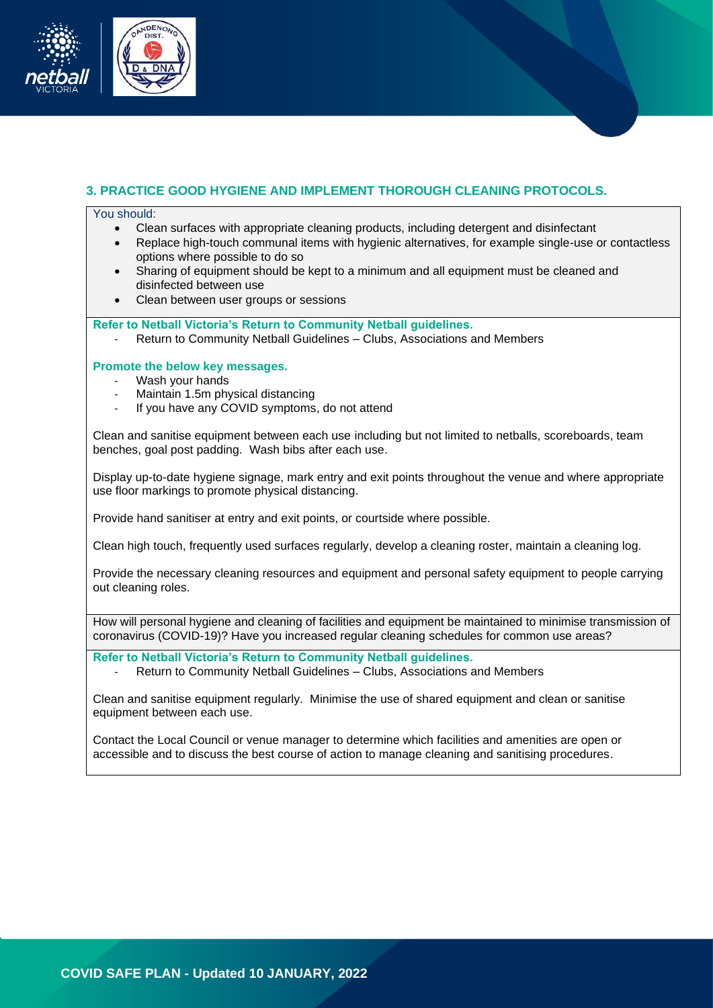

### **3. PRACTICE GOOD HYGIENE AND IMPLEMENT THOROUGH CLEANING PROTOCOLS.**

#### You should:

- Clean surfaces with appropriate cleaning products, including detergent and disinfectant
- Replace high-touch communal items with hygienic alternatives, for example single-use or contactless options where possible to do so
- Sharing of equipment should be kept to a minimum and all equipment must be cleaned and disinfected between use
- Clean between user groups or sessions

**Refer to Netball Victoria's Return to Community Netball guidelines.**

- Return to Community Netball Guidelines – Clubs, Associations and Members

### **Promote the below key messages.**

- Wash your hands
- Maintain 1.5m physical distancing
- If you have any COVID symptoms, do not attend

Clean and sanitise equipment between each use including but not limited to netballs, scoreboards, team benches, goal post padding. Wash bibs after each use.

Display up-to-date hygiene signage, mark entry and exit points throughout the venue and where appropriate use floor markings to promote physical distancing.

Provide hand sanitiser at entry and exit points, or courtside where possible.

Clean high touch, frequently used surfaces regularly, develop a cleaning roster, maintain a cleaning log.

Provide the necessary cleaning resources and equipment and personal safety equipment to people carrying out cleaning roles.

How will personal hygiene and cleaning of facilities and equipment be maintained to minimise transmission of coronavirus (COVID-19)? Have you increased regular cleaning schedules for common use areas?

**Refer to Netball Victoria's Return to Community Netball guidelines.**

- Return to Community Netball Guidelines – Clubs, Associations and Members

Clean and sanitise equipment regularly. Minimise the use of shared equipment and clean or sanitise equipment between each use.

Contact the Local Council or venue manager to determine which facilities and amenities are open or accessible and to discuss the best course of action to manage cleaning and sanitising procedures.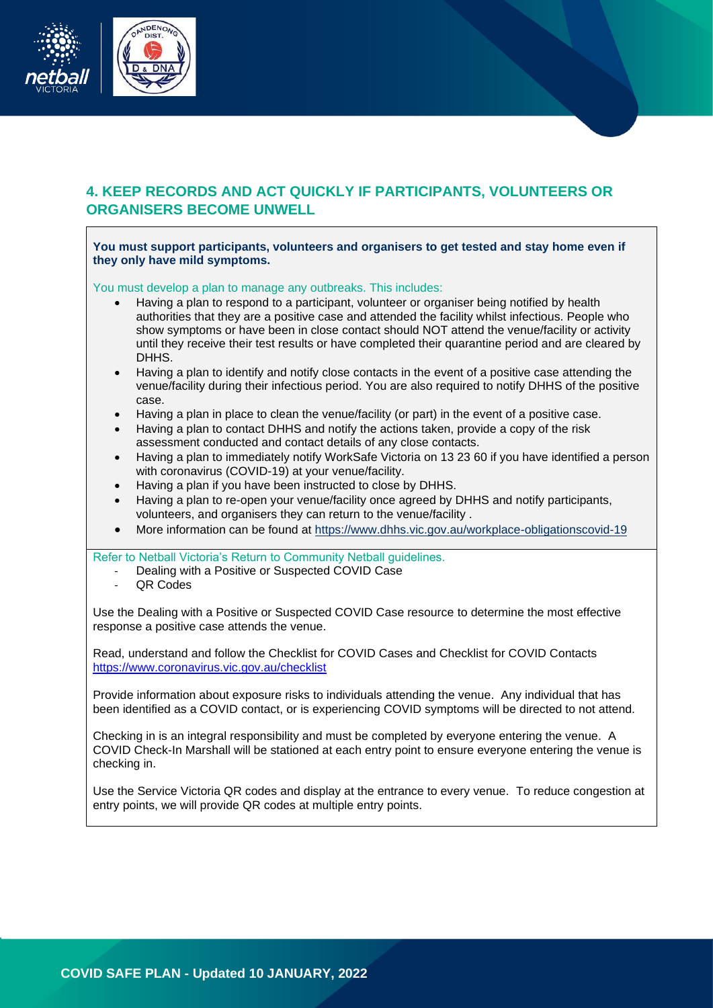

# **4. KEEP RECORDS AND ACT QUICKLY IF PARTICIPANTS, VOLUNTEERS OR ORGANISERS BECOME UNWELL**

**You must support participants, volunteers and organisers to get tested and stay home even if they only have mild symptoms.**

You must develop a plan to manage any outbreaks. This includes:

- Having a plan to respond to a participant, volunteer or organiser being notified by health authorities that they are a positive case and attended the facility whilst infectious. People who show symptoms or have been in close contact should NOT attend the venue/facility or activity until they receive their test results or have completed their quarantine period and are cleared by DHHS.
- Having a plan to identify and notify close contacts in the event of a positive case attending the venue/facility during their infectious period. You are also required to notify DHHS of the positive case.
- Having a plan in place to clean the venue/facility (or part) in the event of a positive case.
- Having a plan to contact DHHS and notify the actions taken, provide a copy of the risk assessment conducted and contact details of any close contacts.
- Having a plan to immediately notify WorkSafe Victoria on 13 23 60 if you have identified a person with coronavirus (COVID-19) at your venue/facility.
- Having a plan if you have been instructed to close by DHHS.
- Having a plan to re-open your venue/facility once agreed by DHHS and notify participants, volunteers, and organisers they can return to the venue/facility .
- More information can be found at<https://www.dhhs.vic.gov.au/workplace-obligationscovid-19>

Refer to Netball Victoria's Return to Community Netball guidelines.

- Dealing with a Positive or Suspected COVID Case
- **QR Codes**

Use the Dealing with a Positive or Suspected COVID Case resource to determine the most effective response a positive case attends the venue.

Read, understand and follow the Checklist for COVID Cases and Checklist for COVID Contacts <https://www.coronavirus.vic.gov.au/checklist>

Provide information about exposure risks to individuals attending the venue. Any individual that has been identified as a COVID contact, or is experiencing COVID symptoms will be directed to not attend.

Checking in is an integral responsibility and must be completed by everyone entering the venue. A COVID Check-In Marshall will be stationed at each entry point to ensure everyone entering the venue is checking in.

Use the Service Victoria QR codes and display at the entrance to every venue. To reduce congestion at entry points, we will provide QR codes at multiple entry points.